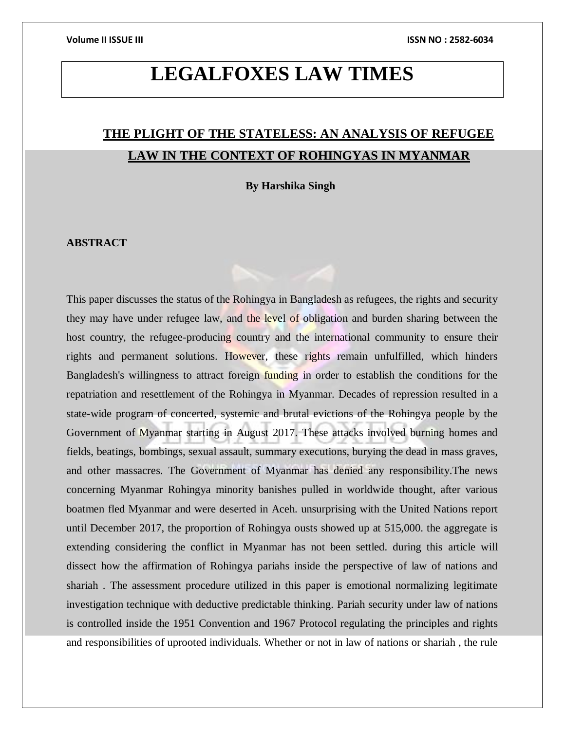## **LEGALFOXES LAW TIMES**

## **THE PLIGHT OF THE STATELESS: AN ANALYSIS OF REFUGEE LAW IN THE CONTEXT OF ROHINGYAS IN MYANMAR**

**By Harshika Singh**

### **ABSTRACT**

This paper discusses the status of the Rohingya in Bangladesh as refugees, the rights and security they may have under refugee law, and the level of obligation and burden sharing between the host country, the refugee-producing country and the international community to ensure their rights and permanent solutions. However, these rights remain unfulfilled, which hinders Bangladesh's willingness to attract foreign funding in order to establish the conditions for the repatriation and resettlement of the Rohingya in Myanmar. Decades of repression resulted in a state-wide program of concerted, systemic and brutal evictions of the Rohingya people by the Government of Myanmar starting in August 2017. These attacks involved burning homes and fields, beatings, bombings, sexual assault, summary executions, burying the dead in mass graves, and other massacres. The Government of Myanmar has denied any responsibility.The news concerning Myanmar Rohingya minority banishes pulled in worldwide thought, after various boatmen fled Myanmar and were deserted in Aceh. unsurprising with the United Nations report until December 2017, the proportion of Rohingya ousts showed up at 515,000. the aggregate is extending considering the conflict in Myanmar has not been settled. during this article will dissect how the affirmation of Rohingya pariahs inside the perspective of law of nations and shariah . The assessment procedure utilized in this paper is emotional normalizing legitimate investigation technique with deductive predictable thinking. Pariah security under law of nations is controlled inside the 1951 Convention and 1967 Protocol regulating the principles and rights and responsibilities of uprooted individuals. Whether or not in law of nations or shariah , the rule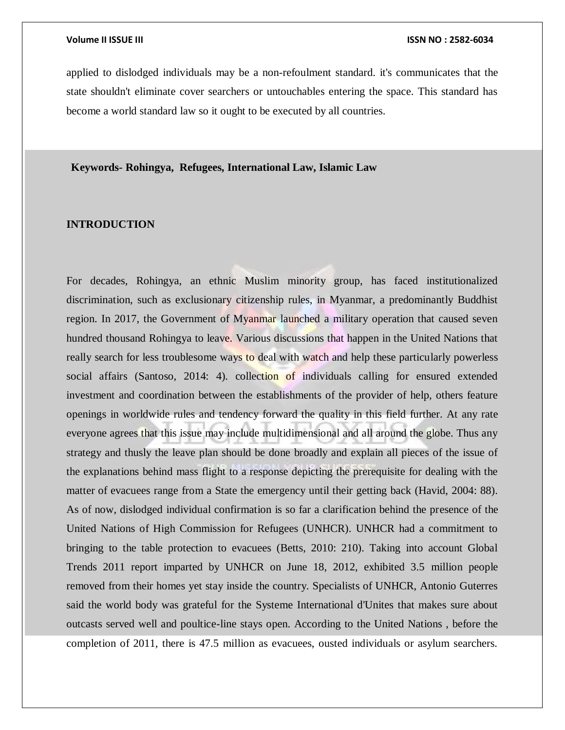applied to dislodged individuals may be a non-refoulment standard. it's communicates that the state shouldn't eliminate cover searchers or untouchables entering the space. This standard has become a world standard law so it ought to be executed by all countries.

**Keywords- Rohingya, Refugees, International Law, Islamic Law**

### **INTRODUCTION**

For decades, Rohingya, an ethnic Muslim minority group, has faced institutionalized discrimination, such as exclusionary citizenship rules, in Myanmar, a predominantly Buddhist region. In 2017, the Government of Myanmar launched a military operation that caused seven hundred thousand Rohingya to leave. Various discussions that happen in the United Nations that really search for less troublesome ways to deal with watch and help these particularly powerless social affairs (Santoso, 2014: 4). collection of individuals calling for ensured extended investment and coordination between the establishments of the provider of help, others feature openings in worldwide rules and tendency forward the quality in this field further. At any rate everyone agrees that this issue may include multidimensional and all around the globe. Thus any strategy and thusly the leave plan should be done broadly and explain all pieces of the issue of the explanations behind mass flight to a response depicting the prerequisite for dealing with the matter of evacuees range from a State the emergency until their getting back (Havid, 2004: 88). As of now, dislodged individual confirmation is so far a clarification behind the presence of the United Nations of High Commission for Refugees (UNHCR). UNHCR had a commitment to bringing to the table protection to evacuees (Betts, 2010: 210). Taking into account Global Trends 2011 report imparted by UNHCR on June 18, 2012, exhibited 3.5 million people removed from their homes yet stay inside the country. Specialists of UNHCR, Antonio Guterres said the world body was grateful for the Systeme International d'Unites that makes sure about outcasts served well and poultice-line stays open. According to the United Nations , before the completion of 2011, there is 47.5 million as evacuees, ousted individuals or asylum searchers.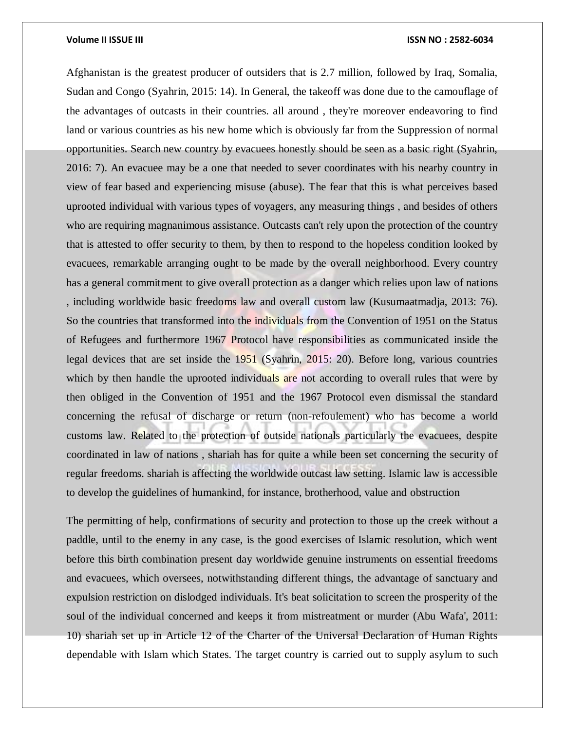Afghanistan is the greatest producer of outsiders that is 2.7 million, followed by Iraq, Somalia, Sudan and Congo (Syahrin, 2015: 14). In General, the takeoff was done due to the camouflage of the advantages of outcasts in their countries. all around , they're moreover endeavoring to find land or various countries as his new home which is obviously far from the Suppression of normal opportunities. Search new country by evacuees honestly should be seen as a basic right (Syahrin, 2016: 7). An evacuee may be a one that needed to sever coordinates with his nearby country in view of fear based and experiencing misuse (abuse). The fear that this is what perceives based uprooted individual with various types of voyagers, any measuring things , and besides of others who are requiring magnanimous assistance. Outcasts can't rely upon the protection of the country that is attested to offer security to them, by then to respond to the hopeless condition looked by evacuees, remarkable arranging ought to be made by the overall neighborhood. Every country has a general commitment to give overall protection as a danger which relies upon law of nations , including worldwide basic freedoms law and overall custom law (Kusumaatmadja, 2013: 76). So the countries that transformed into the individuals from the Convention of 1951 on the Status of Refugees and furthermore 1967 Protocol have responsibilities as communicated inside the legal devices that are set inside the 1951 (Syahrin, 2015: 20). Before long, various countries which by then handle the uprooted individuals are not according to overall rules that were by then obliged in the Convention of 1951 and the 1967 Protocol even dismissal the standard concerning the refusal of discharge or return (non-refoulement) who has become a world customs law. Related to the protection of outside nationals particularly the evacuees, despite coordinated in law of nations , shariah has for quite a while been set concerning the security of regular freedoms. shariah is affecting the worldwide outcast law setting. Islamic law is accessible to develop the guidelines of humankind, for instance, brotherhood, value and obstruction

The permitting of help, confirmations of security and protection to those up the creek without a paddle, until to the enemy in any case, is the good exercises of Islamic resolution, which went before this birth combination present day worldwide genuine instruments on essential freedoms and evacuees, which oversees, notwithstanding different things, the advantage of sanctuary and expulsion restriction on dislodged individuals. It's beat solicitation to screen the prosperity of the soul of the individual concerned and keeps it from mistreatment or murder (Abu Wafa', 2011: 10) shariah set up in Article 12 of the Charter of the Universal Declaration of Human Rights dependable with Islam which States. The target country is carried out to supply asylum to such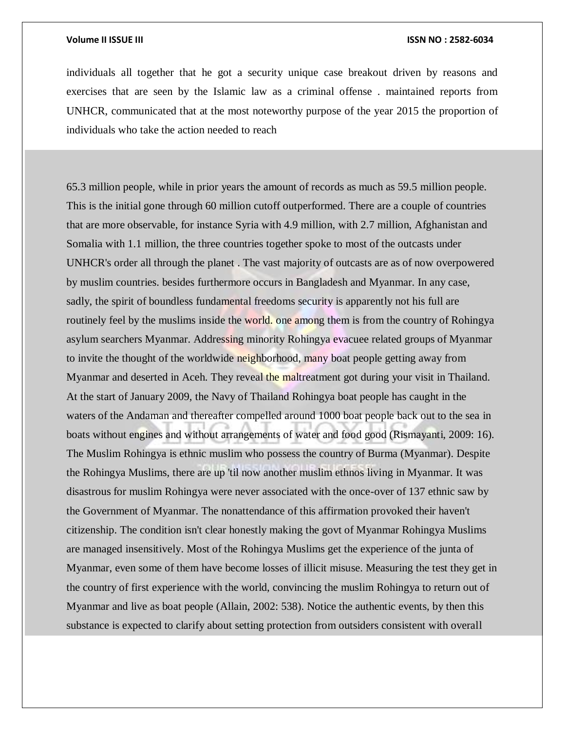individuals all together that he got a security unique case breakout driven by reasons and exercises that are seen by the Islamic law as a criminal offense . maintained reports from UNHCR, communicated that at the most noteworthy purpose of the year 2015 the proportion of individuals who take the action needed to reach

65.3 million people, while in prior years the amount of records as much as 59.5 million people. This is the initial gone through 60 million cutoff outperformed. There are a couple of countries that are more observable, for instance Syria with 4.9 million, with 2.7 million, Afghanistan and Somalia with 1.1 million, the three countries together spoke to most of the outcasts under UNHCR's order all through the planet . The vast majority of outcasts are as of now overpowered by muslim countries. besides furthermore occurs in Bangladesh and Myanmar. In any case, sadly, the spirit of boundless fundamental freedoms security is apparently not his full are routinely feel by the muslims inside the world, one among them is from the country of Rohingya asylum searchers Myanmar. Addressing minority Rohingya evacuee related groups of Myanmar to invite the thought of the worldwide neighborhood, many boat people getting away from Myanmar and deserted in Aceh. They reveal the maltreatment got during your visit in Thailand. At the start of January 2009, the Navy of Thailand Rohingya boat people has caught in the waters of the Andaman and thereafter compelled around 1000 boat people back out to the sea in boats without engines and without arrangements of water and food good (Rismayanti, 2009: 16). The Muslim Rohingya is ethnic muslim who possess the country of Burma (Myanmar). Despite the Rohingya Muslims, there are up 'til now another muslim ethnos living in Myanmar. It was disastrous for muslim Rohingya were never associated with the once-over of 137 ethnic saw by the Government of Myanmar. The nonattendance of this affirmation provoked their haven't citizenship. The condition isn't clear honestly making the govt of Myanmar Rohingya Muslims are managed insensitively. Most of the Rohingya Muslims get the experience of the junta of Myanmar, even some of them have become losses of illicit misuse. Measuring the test they get in the country of first experience with the world, convincing the muslim Rohingya to return out of Myanmar and live as boat people (Allain, 2002: 538). Notice the authentic events, by then this substance is expected to clarify about setting protection from outsiders consistent with overall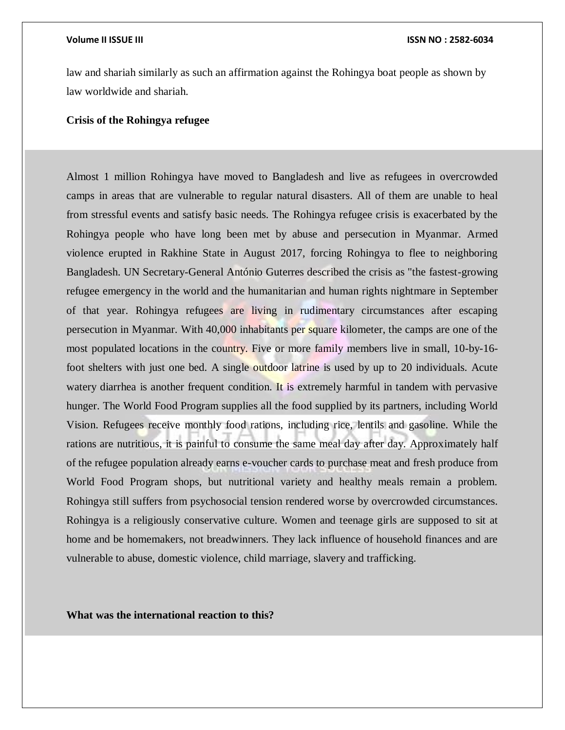law and shariah similarly as such an affirmation against the Rohingya boat people as shown by law worldwide and shariah.

### **Crisis of the Rohingya refugee**

Almost 1 million Rohingya have moved to Bangladesh and live as refugees in overcrowded camps in areas that are vulnerable to regular natural disasters. All of them are unable to heal from stressful events and satisfy basic needs. The Rohingya refugee crisis is exacerbated by the Rohingya people who have long been met by abuse and persecution in Myanmar. Armed violence erupted in Rakhine State in August 2017, forcing Rohingya to flee to neighboring Bangladesh. UN Secretary-General António Guterres described the crisis as "the fastest-growing refugee emergency in the world and the humanitarian and human rights nightmare in September of that year. Rohingya refugees are living in rudimentary circumstances after escaping persecution in Myanmar. With 40,000 inhabitants per square kilometer, the camps are one of the most populated locations in the country. Five or more family members live in small, 10-by-16 foot shelters with just one bed. A single outdoor latrine is used by up to 20 individuals. Acute watery diarrhea is another frequent condition. It is extremely harmful in tandem with pervasive hunger. The World Food Program supplies all the food supplied by its partners, including World Vision. Refugees receive monthly food rations, including rice, lentils and gasoline. While the rations are nutritious, it is painful to consume the same meal day after day. Approximately half of the refugee population already earns e-voucher cards to purchase meat and fresh produce from World Food Program shops, but nutritional variety and healthy meals remain a problem. Rohingya still suffers from psychosocial tension rendered worse by overcrowded circumstances. Rohingya is a religiously conservative culture. Women and teenage girls are supposed to sit at home and be homemakers, not breadwinners. They lack influence of household finances and are vulnerable to abuse, domestic violence, child marriage, slavery and trafficking.

**What was the international reaction to this?**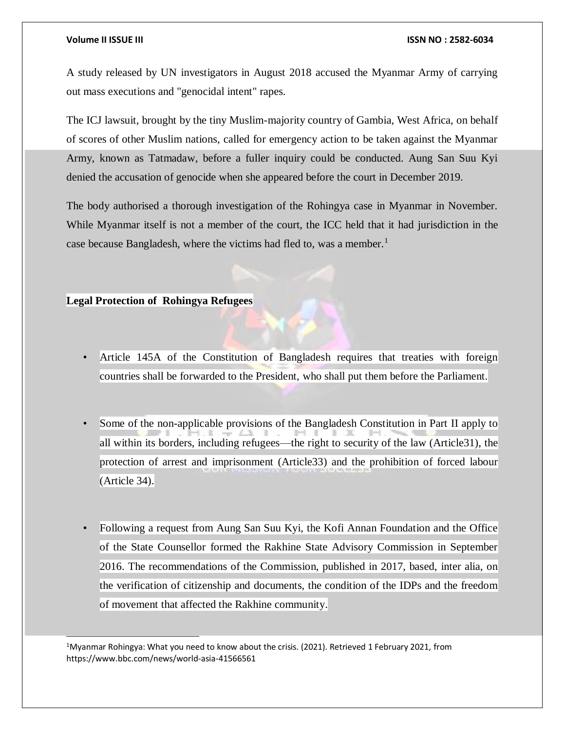l

#### **Volume II ISSUE III ISSN NO : 2582-6034**

A study released by UN investigators in August 2018 accused the Myanmar Army of carrying out mass executions and "genocidal intent" rapes.

The ICJ lawsuit, brought by the tiny Muslim-majority country of Gambia, West Africa, on behalf of scores of other Muslim nations, called for emergency action to be taken against the Myanmar Army, known as Tatmadaw, before a fuller inquiry could be conducted. Aung San Suu Kyi denied the accusation of genocide when she appeared before the court in December 2019.

The body authorised a thorough investigation of the Rohingya case in Myanmar in November. While Myanmar itself is not a member of the court, the ICC held that it had jurisdiction in the case because Bangladesh, where the victims had fled to, was a member.<sup>1</sup>

### **Legal Protection of Rohingya Refugees**

- Article 145A of the Constitution of Bangladesh requires that treaties with foreign countries shall be forwarded to the President, who shall put them before the Parliament.
- Some of the non-applicable provisions of the Bangladesh Constitution in Part II apply to all within its borders, including refugees—the right to security of the law (Article31), the protection of arrest and imprisonment (Article33) and the prohibition of forced labour (Article 34).
- Following a request from Aung San Suu Kyi, the Kofi Annan Foundation and the Office of the State Counsellor formed the Rakhine State Advisory Commission in September 2016. The recommendations of the Commission, published in 2017, based, inter alia, on the verification of citizenship and documents, the condition of the IDPs and the freedom of movement that affected the Rakhine community.

<sup>1</sup>Myanmar Rohingya: What you need to know about the crisis. (2021). Retrieved 1 February 2021, from https://www.bbc.com/news/world-asia-41566561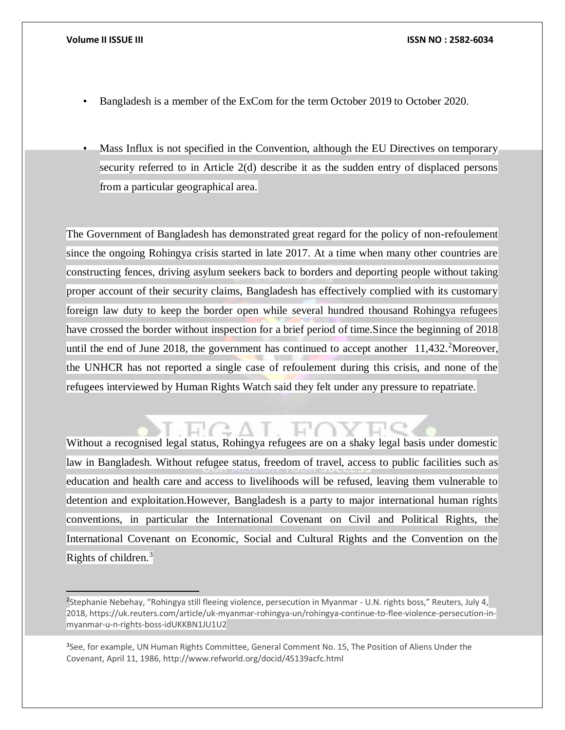- Bangladesh is a member of the ExCom for the term October 2019 to October 2020.
- Mass Influx is not specified in the Convention, although the EU Directives on temporary security referred to in Article 2(d) describe it as the sudden entry of displaced persons from a particular geographical area.

The Government of Bangladesh has demonstrated great regard for the policy of non-refoulement since the ongoing Rohingya crisis started in late 2017. At a time when many other countries are constructing fences, driving asylum seekers back to borders and deporting people without taking proper account of their security claims, Bangladesh has effectively complied with its customary foreign law duty to keep the border open while several hundred thousand Rohingya refugees have crossed the border without inspection for a brief period of time.Since the beginning of 2018 until the end of June 2018, the government has continued to accept another  $11,432$ . Moreover, the UNHCR has not reported a single case of refoulement during this crisis, and none of the refugees interviewed by Human Rights Watch said they felt under any pressure to repatriate.

# Without a recognised legal status, Rohingya refugees are on a shaky legal basis under domestic law in Bangladesh. Without refugee status, freedom of travel, access to public facilities such as education and health care and access to livelihoods will be refused, leaving them vulnerable to detention and exploitation.However, Bangladesh is a party to major international human rights conventions, in particular the International Covenant on Civil and Political Rights, the International Covenant on Economic, Social and Cultural Rights and the Convention on the

Rights of children.<sup>3</sup>

 $\overline{a}$ 

<sup>&</sup>lt;sup>2</sup>Stephanie Nebehay, "Rohingya still fleeing violence, persecution in Myanmar - U.N. rights boss," Reuters, July 4, 2018, https://uk.reuters.com/article/uk-myanmar-rohingya-un/rohingya-continue-to-flee-violence-persecution-inmyanmar-u-n-rights-boss-idUKKBN1JU1U2

<sup>&</sup>lt;sup>3</sup>See, for example, UN Human Rights Committee, General Comment No. 15, The Position of Aliens Under the Covenant, April 11, 1986, http://www.refworld.org/docid/45139acfc.html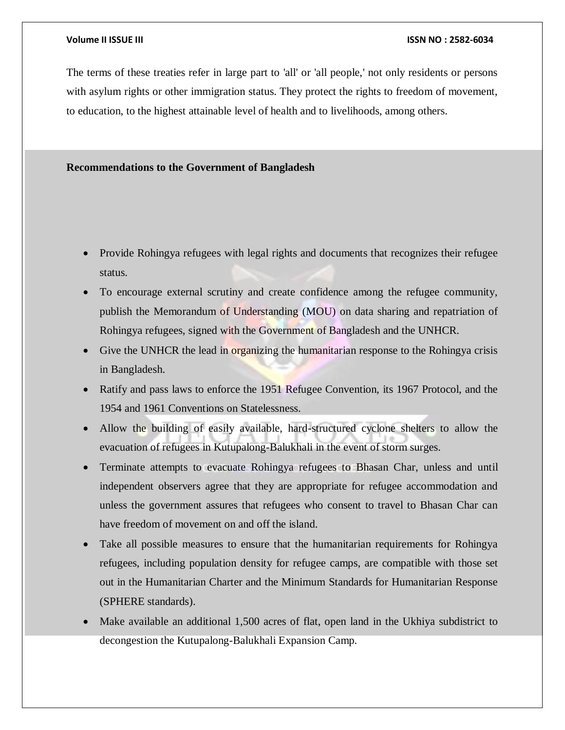The terms of these treaties refer in large part to 'all' or 'all people,' not only residents or persons with asylum rights or other immigration status. They protect the rights to freedom of movement, to education, to the highest attainable level of health and to livelihoods, among others.

### **Recommendations to the Government of Bangladesh**

- Provide Rohingya refugees with legal rights and documents that recognizes their refugee status.
- To encourage external scrutiny and create confidence among the refugee community, publish the Memorandum of Understanding (MOU) on data sharing and repatriation of Rohingya refugees, signed with the Government of Bangladesh and the UNHCR.
- Give the UNHCR the lead in organizing the humanitarian response to the Rohingya crisis in Bangladesh.
- Ratify and pass laws to enforce the 1951 Refugee Convention, its 1967 Protocol, and the 1954 and 1961 Conventions on Statelessness.
- Allow the building of easily available, hard-structured cyclone shelters to allow the evacuation of refugees in Kutupalong-Balukhali in the event of storm surges.
- Terminate attempts to evacuate Rohingya refugees to Bhasan Char, unless and until independent observers agree that they are appropriate for refugee accommodation and unless the government assures that refugees who consent to travel to Bhasan Char can have freedom of movement on and off the island.
- Take all possible measures to ensure that the humanitarian requirements for Rohingya refugees, including population density for refugee camps, are compatible with those set out in the Humanitarian Charter and the Minimum Standards for Humanitarian Response (SPHERE standards).
- Make available an additional 1,500 acres of flat, open land in the Ukhiya subdistrict to decongestion the Kutupalong-Balukhali Expansion Camp.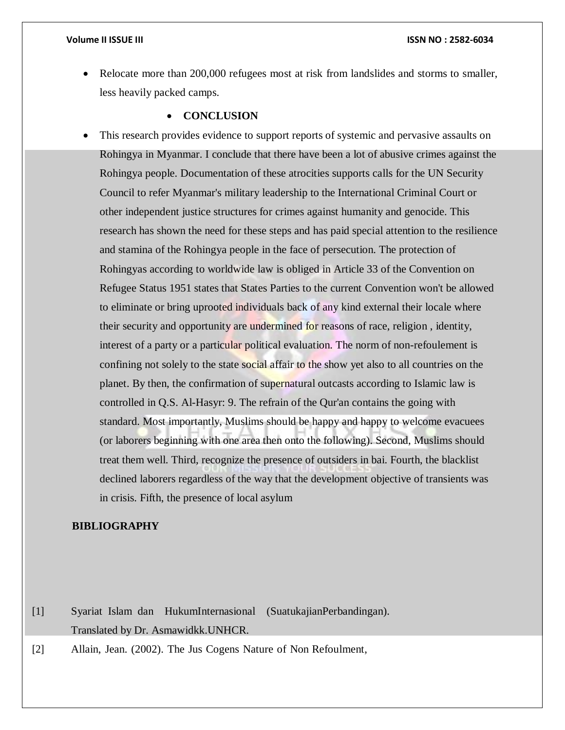Relocate more than 200,000 refugees most at risk from landslides and storms to smaller, less heavily packed camps.

### **CONCLUSION**

 This research provides evidence to support reports of systemic and pervasive assaults on Rohingya in Myanmar. I conclude that there have been a lot of abusive crimes against the Rohingya people. Documentation of these atrocities supports calls for the UN Security Council to refer Myanmar's military leadership to the International Criminal Court or other independent justice structures for crimes against humanity and genocide. This research has shown the need for these steps and has paid special attention to the resilience and stamina of the Rohingya people in the face of persecution. The protection of Rohingyas according to worldwide law is obliged in Article 33 of the Convention on Refugee Status 1951 states that States Parties to the current Convention won't be allowed to eliminate or bring uprooted individuals back of any kind external their locale where their security and opportunity are undermined for reasons of race, religion , identity, interest of a party or a particular political evaluation. The norm of non-refoulement is confining not solely to the state social affair to the show yet also to all countries on the planet. By then, the confirmation of supernatural outcasts according to Islamic law is controlled in Q.S. Al-Hasyr: 9. The refrain of the Qur'an contains the going with standard. Most importantly, Muslims should be happy and happy to welcome evacuees (or laborers beginning with one area then onto the following). Second, Muslims should treat them well. Third, recognize the presence of outsiders in bai. Fourth, the blacklist declined laborers regardless of the way that the development objective of transients was in crisis. Fifth, the presence of local asylum

### **BIBLIOGRAPHY**

[1] Syariat Islam dan HukumInternasional (SuatukajianPerbandingan). Translated by Dr. Asmawidkk.UNHCR.

[2] Allain, Jean. (2002). The Jus Cogens Nature of Non Refoulment,